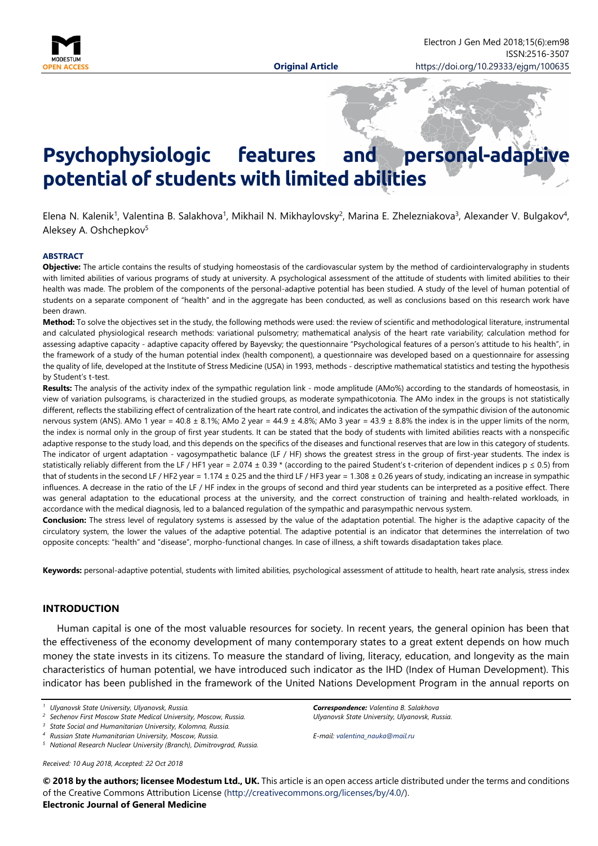

# Psychophysiologic features and personal-adapt **potential of students with limited abilities**

Elena N. Kalenik<sup>1</sup>, Valentina B. Salakhova<sup>1</sup>, Mikhail N. Mikhaylovsky<sup>2</sup>, Marina E. Zhelezniakova<sup>3</sup>, Alexander V. Bulgakov<sup>4</sup>, Aleksey A. Oshchepkov5

#### **ABSTRACT**

**Objective:** The article contains the results of studying homeostasis of the cardiovascular system by the method of cardiointervalography in students with limited abilities of various programs of study at university. A psychological assessment of the attitude of students with limited abilities to their health was made. The problem of the components of the personal-adaptive potential has been studied. A study of the level of human potential of students on a separate component of "health" and in the aggregate has been conducted, as well as conclusions based on this research work have been drawn.

**Method:** To solve the objectives set in the study, the following methods were used: the review of scientific and methodological literature, instrumental and calculated physiological research methods: variational pulsometry; mathematical analysis of the heart rate variability; calculation method for assessing adaptive capacity - adaptive capacity offered by Bayevsky; the questionnaire "Psychological features of a person's attitude to his health", in the framework of a study of the human potential index (health component), a questionnaire was developed based on a questionnaire for assessing the quality of life, developed at the Institute of Stress Medicine (USA) in 1993, methods - descriptive mathematical statistics and testing the hypothesis by Student's t-test.

**Results:** The analysis of the activity index of the sympathic regulation link - mode amplitude (AMo%) according to the standards of homeostasis, in view of variation pulsograms, is characterized in the studied groups, as moderate sympathicotonia. The AMo index in the groups is not statistically different, reflects the stabilizing effect of centralization of the heart rate control, and indicates the activation of the sympathic division of the autonomic nervous system (ANS). AMo 1 year = 40.8 ± 8.1%; AMo 2 year = 44.9 ± 4.8%; AMo 3 year = 43.9 ± 8.8% the index is in the upper limits of the norm, the index is normal only in the group of first year students. It can be stated that the body of students with limited abilities reacts with a nonspecific adaptive response to the study load, and this depends on the specifics of the diseases and functional reserves that are low in this category of students. The indicator of urgent adaptation - vagosympathetic balance (LF / HF) shows the greatest stress in the group of first-year students. The index is statistically reliably different from the LF / HF1 year = 2.074 ± 0.39  $*$  (according to the paired Student's t-criterion of dependent indices  $p \le 0.5$ ) from that of students in the second LF / HF2 year = 1.174  $\pm$  0.25 and the third LF / HF3 year = 1.308  $\pm$  0.26 years of study, indicating an increase in sympathic influences. A decrease in the ratio of the LF / HF index in the groups of second and third year students can be interpreted as a positive effect. There was general adaptation to the educational process at the university, and the correct construction of training and health-related workloads, in accordance with the medical diagnosis, led to a balanced regulation of the sympathic and parasympathic nervous system.

**Conclusion:** The stress level of regulatory systems is assessed by the value of the adaptation potential. The higher is the adaptive capacity of the circulatory system, the lower the values of the adaptive potential. The adaptive potential is an indicator that determines the interrelation of two opposite concepts: "health" and "disease", morpho-functional changes. In case of illness, a shift towards disadaptation takes place.

**Keywords:** personal-adaptive potential, students with limited abilities, psychological assessment of attitude to health, heart rate analysis, stress index

## **INTRODUCTION**

Human capital is one of the most valuable resources for society. In recent years, the general opinion has been that the effectiveness of the economy development of many contemporary states to a great extent depends on how much money the state invests in its citizens. To measure the standard of living, literacy, education, and longevity as the main characteristics of human potential, we have introduced such indicator as the IHD (Index of Human Development). This indicator has been published in the framework of the United Nations Development Program in the annual reports on

*Received: 10 Aug 2018, Accepted: 22 Oct 2018*

*Correspondence: Valentina B. Salakhova Ulyanovsk State University, Ulyanovsk, Russia.*

*E-mail: [valentina\\_nauka@mail.ru](mailto:valentina_nauka@mail.ru)*

**© 2018 by the authors; licensee Modestum Ltd., UK.** This article is an open access article distributed under the terms and conditions of the Creative Commons Attribution License [\(http://creativecommons.org/licenses/by/4.0/\)](http://creativecommons.org/licenses/by/4.0/).

**Electronic Journal of General Medicine**

*<sup>1</sup> Ulyanovsk State University, Ulyanovsk, Russia.*

*<sup>2</sup> Sechenov First Moscow State Medical University, Moscow, Russia.*

*<sup>3</sup> State Social and Humanitarian University, Kolomna, Russia.*

*<sup>4</sup> Russian State Humanitarian University, Moscow, Russia.*

*<sup>5</sup> National Research Nuclear University (Branch), Dimitrovgrad, Russia.*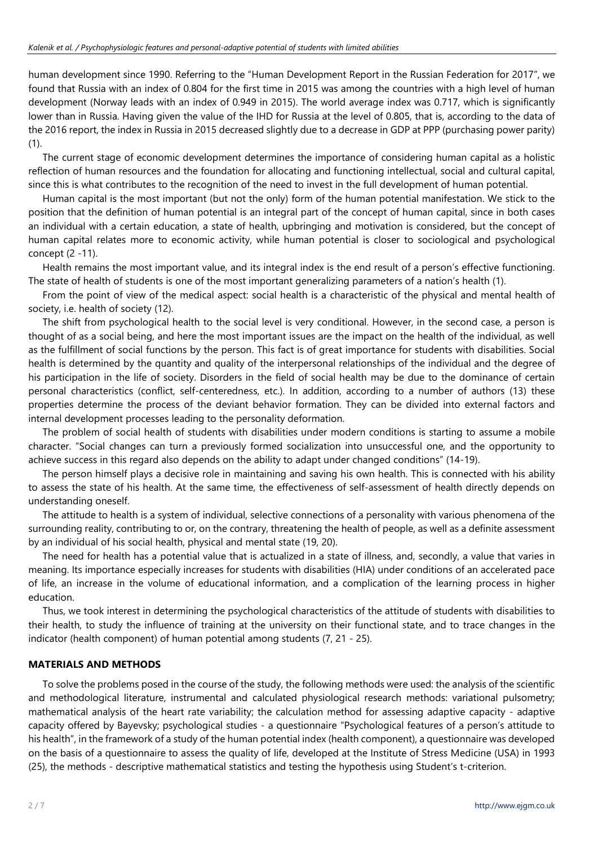human development since 1990. Referring to the "Human Development Report in the Russian Federation for 2017", we found that Russia with an index of 0.804 for the first time in 2015 was among the countries with a high level of human development (Norway leads with an index of 0.949 in 2015). The world average index was 0.717, which is significantly lower than in Russia. Having given the value of the IHD for Russia at the level of 0.805, that is, according to the data of the 2016 report, the index in Russia in 2015 decreased slightly due to a decrease in GDP at PPP (purchasing power parity) (1).

The current stage of economic development determines the importance of considering human capital as a holistic reflection of human resources and the foundation for allocating and functioning intellectual, social and cultural capital, since this is what contributes to the recognition of the need to invest in the full development of human potential.

Human capital is the most important (but not the only) form of the human potential manifestation. We stick to the position that the definition of human potential is an integral part of the concept of human capital, since in both cases an individual with a certain education, a state of health, upbringing and motivation is considered, but the concept of human capital relates more to economic activity, while human potential is closer to sociological and psychological concept (2 -11).

Health remains the most important value, and its integral index is the end result of a person's effective functioning. The state of health of students is one of the most important generalizing parameters of a nation's health (1).

From the point of view of the medical aspect: social health is a characteristic of the physical and mental health of society, i.e. health of society (12).

The shift from psychological health to the social level is very conditional. However, in the second case, a person is thought of as a social being, and here the most important issues are the impact on the health of the individual, as well as the fulfillment of social functions by the person. This fact is of great importance for students with disabilities. Social health is determined by the quantity and quality of the interpersonal relationships of the individual and the degree of his participation in the life of society. Disorders in the field of social health may be due to the dominance of certain personal characteristics (conflict, self-centeredness, etc.). In addition, according to a number of authors (13) these properties determine the process of the deviant behavior formation. They can be divided into external factors and internal development processes leading to the personality deformation.

The problem of social health of students with disabilities under modern conditions is starting to assume a mobile character. "Social changes can turn a previously formed socialization into unsuccessful one, and the opportunity to achieve success in this regard also depends on the ability to adapt under changed conditions" (14-19).

The person himself plays a decisive role in maintaining and saving his own health. This is connected with his ability to assess the state of his health. At the same time, the effectiveness of self-assessment of health directly depends on understanding oneself.

The attitude to health is a system of individual, selective connections of a personality with various phenomena of the surrounding reality, contributing to or, on the contrary, threatening the health of people, as well as a definite assessment by an individual of his social health, physical and mental state (19, 20).

The need for health has a potential value that is actualized in a state of illness, and, secondly, a value that varies in meaning. Its importance especially increases for students with disabilities (HIA) under conditions of an accelerated pace of life, an increase in the volume of educational information, and a complication of the learning process in higher education.

Thus, we took interest in determining the psychological characteristics of the attitude of students with disabilities to their health, to study the influence of training at the university on their functional state, and to trace changes in the indicator (health component) of human potential among students (7, 21 - 25).

# **MATERIALS AND METHODS**

To solve the problems posed in the course of the study, the following methods were used: the analysis of the scientific and methodological literature, instrumental and calculated physiological research methods: variational pulsometry; mathematical analysis of the heart rate variability; the calculation method for assessing adaptive capacity - adaptive capacity offered by Bayevsky; psychological studies - a questionnaire "Psychological features of a person's attitude to his health", in the framework of a study of the human potential index (health component), a questionnaire was developed on the basis of a questionnaire to assess the quality of life, developed at the Institute of Stress Medicine (USA) in 1993 (25), the methods - descriptive mathematical statistics and testing the hypothesis using Student's t-criterion.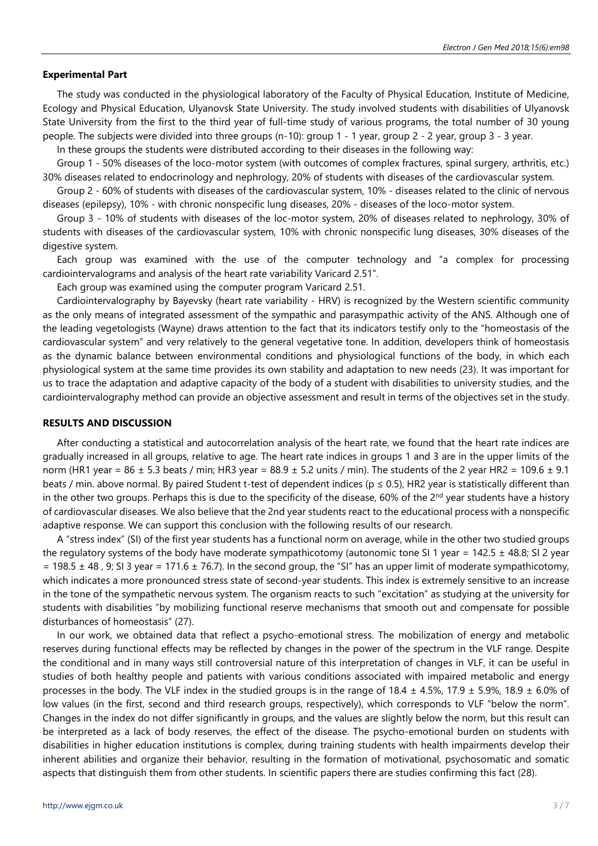#### **Experimental Part**

The study was conducted in the physiological laboratory of the Faculty of Physical Education, Institute of Medicine, Ecology and Physical Education, Ulyanovsk State University. The study involved students with disabilities of Ulyanovsk State University from the first to the third year of full-time study of various programs, the total number of 30 young people. The subjects were divided into three groups (n-10): group 1 - 1 year, group 2 - 2 year, group 3 - 3 year.

In these groups the students were distributed according to their diseases in the following way:

Group 1 - 50% diseases of the loco-motor system (with outcomes of complex fractures, spinal surgery, arthritis, etc.) 30% diseases related to endocrinology and nephrology, 20% of students with diseases of the cardiovascular system.

Group 2 - 60% of students with diseases of the cardiovascular system, 10% - diseases related to the clinic of nervous diseases (epilepsy), 10% - with chronic nonspecific lung diseases, 20% - diseases of the loco-motor system.

Group 3 - 10% of students with diseases of the loc-motor system, 20% of diseases related to nephrology, 30% of students with diseases of the cardiovascular system, 10% with chronic nonspecific lung diseases, 30% diseases of the digestive system.

Each group was examined with the use of the computer technology and "a complex for processing cardiointervalograms and analysis of the heart rate variability Varicard 2.51".

Each group was examined using the computer program Varicard 2.51.

Cardiointervalography by Bayevsky (heart rate variability - HRV) is recognized by the Western scientific community as the only means of integrated assessment of the sympathic and parasympathic activity of the ANS. Although one of the leading vegetologists (Wayne) draws attention to the fact that its indicators testify only to the "homeostasis of the cardiovascular system" and very relatively to the general vegetative tone. In addition, developers think of homeostasis as the dynamic balance between environmental conditions and physiological functions of the body, in which each physiological system at the same time provides its own stability and adaptation to new needs (23). It was important for us to trace the adaptation and adaptive capacity of the body of a student with disabilities to university studies, and the cardiointervalography method can provide an objective assessment and result in terms of the objectives set in the study.

#### **RESULTS AND DISCUSSION**

After conducting a statistical and autocorrelation analysis of the heart rate, we found that the heart rate indices are gradually increased in all groups, relative to age. The heart rate indices in groups 1 and 3 are in the upper limits of the norm (HR1 year =  $86 \pm 5.3$  beats / min; HR3 year =  $88.9 \pm 5.2$  units / min). The students of the 2 year HR2 =  $109.6 \pm 9.1$ beats / min. above normal. By paired Student t-test of dependent indices ( $p \le 0.5$ ), HR2 year is statistically different than in the other two groups. Perhaps this is due to the specificity of the disease, 60% of the 2<sup>nd</sup> year students have a history of cardiovascular diseases. We also believe that the 2nd year students react to the educational process with a nonspecific adaptive response. We can support this conclusion with the following results of our research.

A "stress index" (SI) of the first year students has a functional norm on average, while in the other two studied groups the regulatory systems of the body have moderate sympathicotomy (autonomic tone SI 1 year = 142.5  $\pm$  48.8; SI 2 year  $= 198.5 \pm 48$ , 9; SI 3 year = 171.6  $\pm$  76.7). In the second group, the "SI" has an upper limit of moderate sympathicotomy, which indicates a more pronounced stress state of second-year students. This index is extremely sensitive to an increase in the tone of the sympathetic nervous system. The organism reacts to such "excitation" as studying at the university for students with disabilities "by mobilizing functional reserve mechanisms that smooth out and compensate for possible disturbances of homeostasis" (27).

In our work, we obtained data that reflect a psycho-emotional stress. The mobilization of energy and metabolic reserves during functional effects may be reflected by changes in the power of the spectrum in the VLF range. Despite the conditional and in many ways still controversial nature of this interpretation of changes in VLF, it can be useful in studies of both healthy people and patients with various conditions associated with impaired metabolic and energy processes in the body. The VLF index in the studied groups is in the range of  $18.4 \pm 4.5\%$ ,  $17.9 \pm 5.9\%$ ,  $18.9 \pm 6.0\%$  of low values (in the first, second and third research groups, respectively), which corresponds to VLF "below the norm". Changes in the index do not differ significantly in groups, and the values are slightly below the norm, but this result can be interpreted as a lack of body reserves, the effect of the disease. The psycho-emotional burden on students with disabilities in higher education institutions is complex, during training students with health impairments develop their inherent abilities and organize their behavior, resulting in the formation of motivational, psychosomatic and somatic aspects that distinguish them from other students. In scientific papers there are studies confirming this fact (28).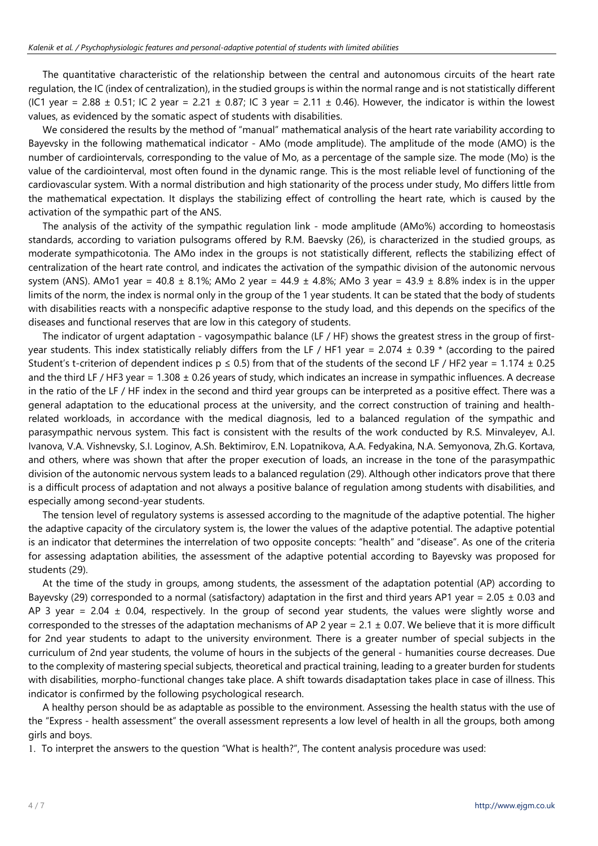The quantitative characteristic of the relationship between the central and autonomous circuits of the heart rate regulation, the IC (index of centralization), in the studied groups is within the normal range and is not statistically different (IC1 year = 2.88  $\pm$  0.51; IC 2 year = 2.21  $\pm$  0.87; IC 3 year = 2.11  $\pm$  0.46). However, the indicator is within the lowest values, as evidenced by the somatic aspect of students with disabilities.

We considered the results by the method of "manual" mathematical analysis of the heart rate variability according to Bayevsky in the following mathematical indicator - AMo (mode amplitude). The amplitude of the mode (AMO) is the number of cardiointervals, corresponding to the value of Mo, as a percentage of the sample size. The mode (Mo) is the value of the cardiointerval, most often found in the dynamic range. This is the most reliable level of functioning of the cardiovascular system. With a normal distribution and high stationarity of the process under study, Mo differs little from the mathematical expectation. It displays the stabilizing effect of controlling the heart rate, which is caused by the activation of the sympathic part of the ANS.

The analysis of the activity of the sympathic regulation link - mode amplitude (AMo%) according to homeostasis standards, according to variation pulsograms offered by R.M. Baevsky (26), is characterized in the studied groups, as moderate sympathicotonia. The AMo index in the groups is not statistically different, reflects the stabilizing effect of centralization of the heart rate control, and indicates the activation of the sympathic division of the autonomic nervous system (ANS). AMo1 year =  $40.8 \pm 8.1\%$ ; AMo 2 year =  $44.9 \pm 4.8\%$ ; AMo 3 year =  $43.9 \pm 8.8\%$  index is in the upper limits of the norm, the index is normal only in the group of the 1 year students. It can be stated that the body of students with disabilities reacts with a nonspecific adaptive response to the study load, and this depends on the specifics of the diseases and functional reserves that are low in this category of students.

The indicator of urgent adaptation - vagosympathic balance (LF / HF) shows the greatest stress in the group of firstyear students. This index statistically reliably differs from the LF / HF1 year = 2.074  $\pm$  0.39  $*$  (according to the paired Student's t-criterion of dependent indices  $p \le 0.5$  from that of the students of the second LF / HF2 year = 1.174  $\pm$  0.25 and the third LF / HF3 year =  $1.308 \pm 0.26$  years of study, which indicates an increase in sympathic influences. A decrease in the ratio of the LF / HF index in the second and third year groups can be interpreted as a positive effect. There was a general adaptation to the educational process at the university, and the correct construction of training and healthrelated workloads, in accordance with the medical diagnosis, led to a balanced regulation of the sympathic and parasympathic nervous system. This fact is consistent with the results of the work conducted by R.S. Minvaleyev, A.I. Ivanova, V.A. Vishnevsky, S.I. Loginov, A.Sh. Bektimirov, E.N. Lopatnikova, A.A. Fedyakina, N.A. Semyonova, Zh.G. Kortava, and others, where was shown that after the proper execution of loads, an increase in the tone of the parasympathic division of the autonomic nervous system leads to a balanced regulation (29). Although other indicators prove that there is a difficult process of adaptation and not always a positive balance of regulation among students with disabilities, and especially among second-year students.

The tension level of regulatory systems is assessed according to the magnitude of the adaptive potential. The higher the adaptive capacity of the circulatory system is, the lower the values of the adaptive potential. The adaptive potential is an indicator that determines the interrelation of two opposite concepts: "health" and "disease". As one of the criteria for assessing adaptation abilities, the assessment of the adaptive potential according to Bayevsky was proposed for students (29).

At the time of the study in groups, among students, the assessment of the adaptation potential (AP) according to Bayevsky (29) corresponded to a normal (satisfactory) adaptation in the first and third years AP1 year = 2.05  $\pm$  0.03 and AP 3 year = 2.04  $\pm$  0.04, respectively. In the group of second year students, the values were slightly worse and corresponded to the stresses of the adaptation mechanisms of AP 2 year =  $2.1 \pm 0.07$ . We believe that it is more difficult for 2nd year students to adapt to the university environment. There is a greater number of special subjects in the curriculum of 2nd year students, the volume of hours in the subjects of the general - humanities course decreases. Due to the complexity of mastering special subjects, theoretical and practical training, leading to a greater burden for students with disabilities, morpho-functional changes take place. A shift towards disadaptation takes place in case of illness. This indicator is confirmed by the following psychological research.

A healthy person should be as adaptable as possible to the environment. Assessing the health status with the use of the "Express - health assessment" the overall assessment represents a low level of health in all the groups, both among girls and boys.

1. To interpret the answers to the question "What is health?", The content analysis procedure was used: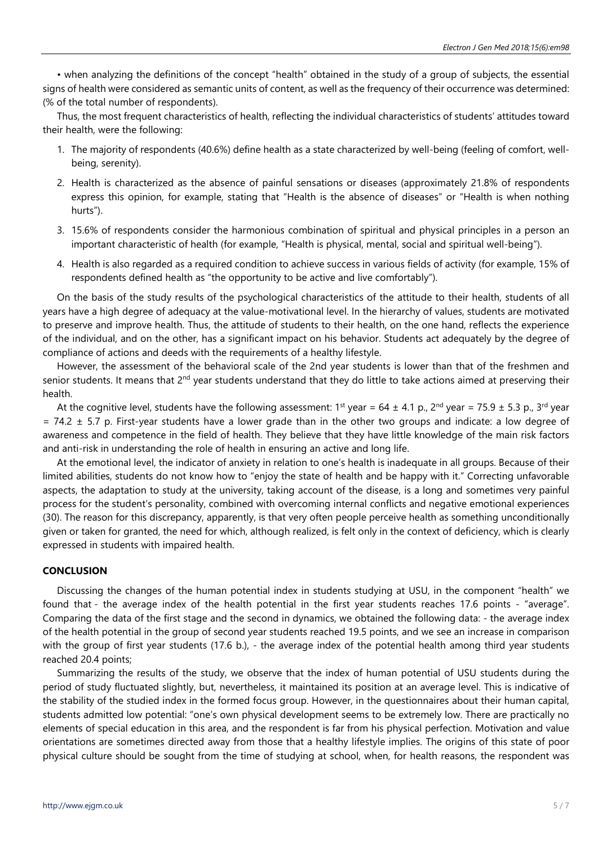• when analyzing the definitions of the concept "health" obtained in the study of a group of subjects, the essential signs of health were considered as semantic units of content, as well as the frequency of their occurrence was determined: (% of the total number of respondents).

Thus, the most frequent characteristics of health, reflecting the individual characteristics of students' attitudes toward their health, were the following:

- 1. The majority of respondents (40.6%) define health as a state characterized by well-being (feeling of comfort, wellbeing, serenity).
- 2. Health is characterized as the absence of painful sensations or diseases (approximately 21.8% of respondents express this opinion, for example, stating that "Health is the absence of diseases" or "Health is when nothing hurts").
- 3. 15.6% of respondents consider the harmonious combination of spiritual and physical principles in a person an important characteristic of health (for example, "Health is physical, mental, social and spiritual well-being").
- 4. Health is also regarded as a required condition to achieve success in various fields of activity (for example, 15% of respondents defined health as "the opportunity to be active and live comfortably").

On the basis of the study results of the psychological characteristics of the attitude to their health, students of all years have a high degree of adequacy at the value-motivational level. In the hierarchy of values, students are motivated to preserve and improve health. Thus, the attitude of students to their health, on the one hand, reflects the experience of the individual, and on the other, has a significant impact on his behavior. Students act adequately by the degree of compliance of actions and deeds with the requirements of a healthy lifestyle.

However, the assessment of the behavioral scale of the 2nd year students is lower than that of the freshmen and senior students. It means that 2<sup>nd</sup> year students understand that they do little to take actions aimed at preserving their health.

At the cognitive level, students have the following assessment: 1<sup>st</sup> year = 64 ± 4.1 p., 2<sup>nd</sup> year = 75.9 ± 5.3 p., 3<sup>rd</sup> year  $= 74.2 \pm 5.7$  p. First-year students have a lower grade than in the other two groups and indicate: a low degree of awareness and competence in the field of health. They believe that they have little knowledge of the main risk factors and anti-risk in understanding the role of health in ensuring an active and long life.

At the emotional level, the indicator of anxiety in relation to one's health is inadequate in all groups. Because of their limited abilities, students do not know how to "enjoy the state of health and be happy with it." Correcting unfavorable aspects, the adaptation to study at the university, taking account of the disease, is a long and sometimes very painful process for the student's personality, combined with overcoming internal conflicts and negative emotional experiences (30). The reason for this discrepancy, apparently, is that very often people perceive health as something unconditionally given or taken for granted, the need for which, although realized, is felt only in the context of deficiency, which is clearly expressed in students with impaired health.

## **CONCLUSION**

Discussing the changes of the human potential index in students studying at USU, in the component "health" we found that - the average index of the health potential in the first year students reaches 17.6 points - "average". Comparing the data of the first stage and the second in dynamics, we obtained the following data: - the average index of the health potential in the group of second year students reached 19.5 points, and we see an increase in comparison with the group of first year students (17.6 b.), - the average index of the potential health among third year students reached 20.4 points;

Summarizing the results of the study, we observe that the index of human potential of USU students during the period of study fluctuated slightly, but, nevertheless, it maintained its position at an average level. This is indicative of the stability of the studied index in the formed focus group. However, in the questionnaires about their human capital, students admitted low potential: "one's own physical development seems to be extremely low. There are practically no elements of special education in this area, and the respondent is far from his physical perfection. Motivation and value orientations are sometimes directed away from those that a healthy lifestyle implies. The origins of this state of poor physical culture should be sought from the time of studying at school, when, for health reasons, the respondent was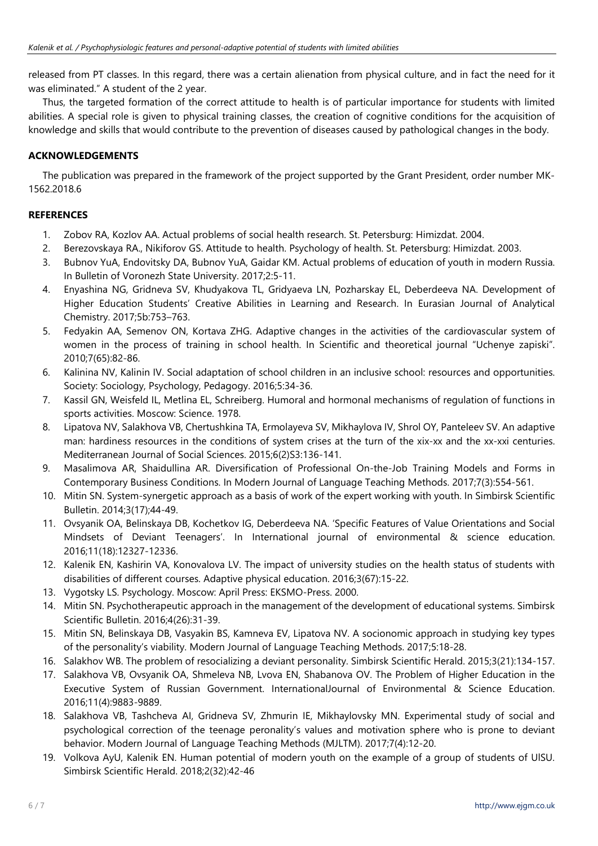released from PT classes. In this regard, there was a certain alienation from physical culture, and in fact the need for it was eliminated." A student of the 2 year.

Thus, the targeted formation of the correct attitude to health is of particular importance for students with limited abilities. A special role is given to physical training classes, the creation of cognitive conditions for the acquisition of knowledge and skills that would contribute to the prevention of diseases caused by pathological changes in the body.

# **ACKNOWLEDGEMENTS**

The publication was prepared in the framework of the project supported by the Grant President, order number МК-1562.2018.6

# **REFERENCES**

- 1. Zobov RA, Kozlov AA. Actual problems of social health research. St. Petersburg: Himizdat. 2004.
- 2. Berezovskaya RA., Nikiforov GS. Attitude to health. Psychology of health. St. Petersburg: Himizdat. 2003.
- 3. Bubnov YuA, Endovitsky DA, Bubnov YuA, Gaidar KM. Actual problems of education of youth in modern Russia. In Bulletin of Voronezh State University. 2017;2:5-11.
- 4. Enyashina NG, Gridnevа SV, Khudyakova TL, Gridyaeva LN, Pozharskay EL, Deberdeeva NA. Development of Higher Education Students' Creative Abilities in Learning and Research. In Eurasian Journal of Analytical Chemistry. 2017;5b:753–763.
- 5. Fedyakin AA, Semenov ON, Kortava ZHG. Adaptive changes in the activities of the cardiovascular system of women in the process of training in school health. In Scientific and theoretical journal "Uchenye zapiski". 2010;7(65):82-86.
- 6. Kalinina NV, Kalinin IV. Social adaptation of school children in an inclusive school: resources and opportunities. Society: Sociology, Psychology, Pedagogy. 2016;5:34-36.
- 7. Kassil GN, Weisfeld IL, Metlina EL, Schreiberg. Humoral and hormonal mechanisms of regulation of functions in sports activities. Moscow: Science. 1978.
- 8. Lipatova NV, Salakhova VB, Chertushkina TA, Ermolayeva SV, Mikhaylova IV, Shrol OY, Panteleev SV. An adaptive man: hardiness resources in the conditions of system crises at the turn of the xix-xx and the xx-xxi centuries. Mediterranean Journal of Social Sciences. 2015;6(2)S3:136-141.
- 9. Masalimova AR, Shaidullina AR. Diversification of Professional On-the-Job Training Models and Forms in Contemporary Business Conditions. In Modern Journal of Language Teaching Methods. 2017;7(3):554-561.
- 10. Mitin SN. System-synergetic approach as a basis of work of the expert working with youth. In Simbirsk Scientific Bulletin. 2014;3(17);44-49.
- 11. Ovsyanik OA, Belinskaya DB, Kochetkov IG, Deberdeeva NA. 'Specific Features of Value Orientations and Social Mindsets of Deviant Teenagers'. In International journal of environmental & science education. 2016;11(18):12327-12336.
- 12. Kalenik EN, Kashirin VA, Konovalova LV. The impact of university studies on the health status of students with disabilities of different courses. Adaptive physical education. 2016;3(67):15-22.
- 13. Vygotsky LS. Psychology. Moscow: April Press: EKSMO-Press. 2000.
- 14. Mitin SN. Psychotherapeutic approach in the management of the development of educational systems. Simbirsk Scientific Bulletin. 2016;4(26):31-39.
- 15. Mitin SN, Belinskaya DB, Vasyakin BS, Kamneva EV, Lipatova NV. A socionomic approach in studying key types of the personality's viability. Modern Journal of Language Teaching Methods. 2017;5:18-28.
- 16. Salakhov WB. The problem of resocializing a deviant personality. Simbirsk Scientific Herald. 2015;3(21):134-157.
- 17. Salakhova VB, Ovsyanik OA, Shmeleva NB, Lvova EN, Shabanova OV. The Problem of Higher Education in the Executive System of Russian Government. International
Journal of Environmental & Science Education. 2016;11(4):9883-9889.
- 18. Salakhova VB, Tashcheva AI, Gridnevа SV, Zhmurin IE, Mikhaylovsky MN. Experimental study of social and psychological correction of the teenage peronality's values and motivation sphere who is prone to deviant behavior. Modern Journal of Language Teaching Methods (MJLTM). 2017;7(4):12-20.
- 19. Volkova AyU, Kalenik EN. Human potential of modern youth on the example of a group of students of UlSU. Simbirsk Scientific Herald. 2018;2(32):42-46